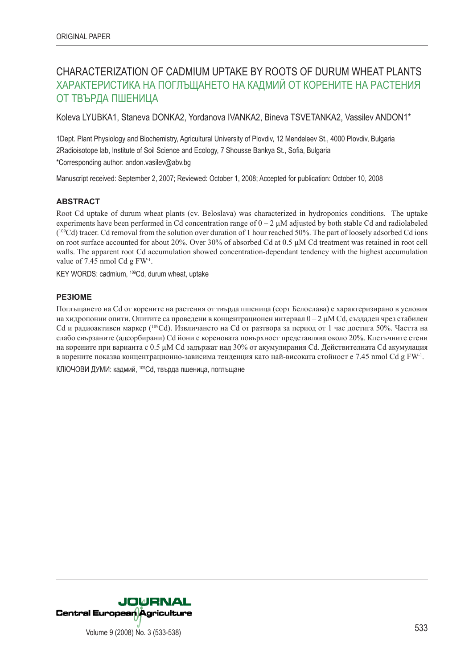# CHARACTERIZATION OF CADMIUM UPTAKE BY ROOTS OF DURUM WHEAT PLANTS ХАРАКТЕРИСТИКА НА ПОГЛЪЩАНЕТО НА КАДМИЙ ОТ КОРЕНИТЕ НА РАСТЕНИЯ ОТ ТВЪРДА ПШЕНИЦА

Koleva LYUBKA1, Staneva DONKA2, Yordanova IVANKA2, Bineva TSVETANKA2, Vassilev ANDON1\*

1Dept. Plant Physiology and Biochemistry, Agricultural University of Plovdiv, 12 Mendeleev St., 4000 Plovdiv, Bulgaria 2Radioisotope lab, Institute of Soil Science and Ecology, 7 Shousse Bankya St., Sofia, Bulgaria \*Corresponding author: andon.vasilev@abv.bg

Manuscript received: September 2, 2007; Reviewed: October 1, 2008; Accepted for publication: October 10, 2008

## **ABSTRACT**

Root Cd uptake of durum wheat plants (cv. Beloslava) was characterized in hydroponics conditions. The uptake experiments have been performed in Cd concentration range of  $0 - 2 \mu M$  adjusted by both stable Cd and radiolabeled (109Cd) tracer. Cd removal from the solution over duration of 1 hour reached 50%. The part of loosely adsorbed Cd ions on root surface accounted for about 20%. Over 30% of absorbed Cd at 0.5 µM Cd treatment was retained in root cell walls. The apparent root Cd accumulation showed concentration-dependant tendency with the highest accumulation value of 7.45 nmol Cd g FW-1.

KEY WORDS: cadmium, 109Cd, durum wheat, uptake

## **РЕЗЮМЕ**

Поглъщането на Cd от корените на растения от твърда пшеница (сорт Белослава) е характеризирано в условия на хидропонни опити. Опитите са проведени в концентрационен интервал  $0-2$  uM Cd, създаден чрез стабилен Cd и радиоактивен маркер (109Cd). Извличането на Cd от разтвора за период от 1 час достига 50%. Частта на слабо свързаните (адсорбирани) Cd йони с кореновата повърхност представлява около 20%. Клетъчните стени на корените при варианта с 0.5 µM Cd задържат над 30% от акумулирания Cd. Действителната Cd акумулация в корените показва концентрационно-зависима тенденция като най-високата стойност е 7.45 nmol Cd g FW-1.

КЛЮЧОВИ ДУМИ: кадмий, 109Cd, твърда пшеница, поглъщане

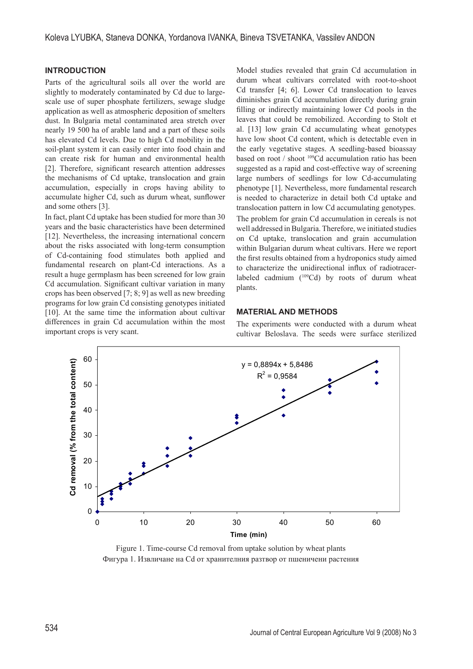## **INTRODUCTION**

Parts of the agricultural soils all over the world are slightly to moderately contaminated by Cd due to largescale use of super phosphate fertilizers, sewage sludge application as well as atmospheric deposition of smelters dust. In Bulgaria metal contaminated area stretch over nearly 19 500 ha of arable land and a part of these soils has elevated Cd levels. Due to high Cd mobility in the soil-plant system it can easily enter into food chain and can create risk for human and environmental health [2]. Therefore, significant research attention addresses the mechanisms of Cd uptake, translocation and grain accumulation, especially in crops having ability to accumulate higher Cd, such as durum wheat, sunflower and some others [3].

In fact, plant Cd uptake has been studied for more than 30 years and the basic characteristics have been determined [12]. Nevertheless, the increasing international concern about the risks associated with long-term consumption of Cd-containing food stimulates both applied and fundamental research on plant-Cd interactions. As a result a huge germplasm has been screened for low grain Cd accumulation. Significant cultivar variation in many crops has been observed [7; 8; 9] as well as new breeding programs for low grain Cd consisting genotypes initiated [10]. At the same time the information about cultivar differences in grain Cd accumulation within the most important crops is very scant.

Model studies revealed that grain Cd accumulation in durum wheat cultivars correlated with root-to-shoot Cd transfer [4; 6]. Lower Cd translocation to leaves diminishes grain Cd accumulation directly during grain filling or indirectly maintaining lower Cd pools in the leaves that could be remobilized. According to Stolt et al. [13] low grain Cd accumulating wheat genotypes have low shoot Cd content, which is detectable even in the early vegetative stages. A seedling-based bioassay based on root / shoot 109Cd accumulation ratio has been suggested as a rapid and cost-effective way of screening large numbers of seedlings for low Cd-accumulating phenotype [1]. Nevertheless, more fundamental research is needed to characterize in detail both Cd uptake and translocation pattern in low Cd accumulating genotypes. The problem for grain Cd accumulation in cereals is not well addressed in Bulgaria. Therefore, we initiated studies on Cd uptake, translocation and grain accumulation within Bulgarian durum wheat cultivars. Here we report the first results obtained from a hydroponics study aimed to characterize the unidirectional influx of radiotracerlabeled cadmium  $(^{109}Cd)$  by roots of durum wheat plants.

#### **MATERIAL AND METHODS**

The experiments were conducted with a durum wheat cultivar Beloslava. The seeds were surface sterilized



Figure 1. Time-course Cd removal from uptake solution by wheat plants Фигура 1. Извличане на Cd от хранителния разтвор от пшеничени растения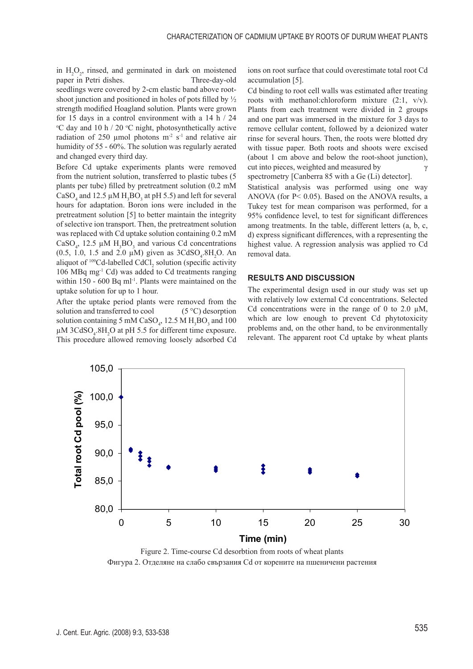in  $H_2O_2$ , rinsed, and germinated in dark on moistened paper in Petri dishes. Three-day-old seedlings were covered by 2-cm elastic band above rootshoot junction and positioned in holes of pots filled by ½ strength modified Hoagland solution. Plants were grown for 15 days in a control environment with a 14 h  $/$  24 C day and 10 h  $/$  20 °C night, photosynthetically active radiation of 250 µmol photons  $m<sup>2</sup>$  s<sup>-1</sup> and relative air humidity of 55 - 60%. The solution was regularly aerated and changed every third day.

Before Cd uptake experiments plants were removed from the nutrient solution, transferred to plastic tubes (5 plants per tube) filled by pretreatment solution (0.2 mM CaSO<sub>4</sub> and 12.5  $\mu$ M H<sub>3</sub>BO<sub>3</sub> at pH 5.5) and left for several hours for adaptation. Boron ions were included in the pretreatment solution [5] to better maintain the integrity of selective ion transport. Then, the pretreatment solution was replaced with Cd uptake solution containing 0.2 mM CaSO<sub>4</sub>, 12.5  $\mu$ M H<sub>3</sub>BO<sub>3</sub> and various Cd concentrations (0.5, 1.0, 1.5 and 2.0  $\mu$ M) given as 3CdSO<sub>4</sub>.8H<sub>2</sub>O. An aliquot of  $109$ Cd-labelled CdCl<sub>2</sub> solution (specific activity 106 MBq mg-1 Cd) was added to Cd treatments ranging within 150 - 600 Bq ml<sup>-1</sup>. Plants were maintained on the uptake solution for up to 1 hour.

After the uptake period plants were removed from the solution and transferred to cool  $(5^{\circ}C)$  desorption solution containing 5 mM CaSO<sub>4</sub>, 12.5 M  $H_3BO_3$  and 100  $\mu$ M 3CdSO<sub>4</sub>.8H<sub>2</sub>O at pH 5.5 for different time exposure. This procedure allowed removing loosely adsorbed Cd

ions on root surface that could overestimate total root Cd accumulation [5].

Cd binding to root cell walls was estimated after treating roots with methanol:chloroform mixture (2:1, v/v). Plants from each treatment were divided in 2 groups and one part was immersed in the mixture for 3 days to remove cellular content, followed by a deionized water rinse for several hours. Then, the roots were blotted dry with tissue paper. Both roots and shoots were excised (about 1 cm above and below the root-shoot junction), cut into pieces, weighted and measured by  $\gamma$ spectrometry [Canberra 85 with a Ge (Li) detector].

Statistical analysis was performed using one way ANOVA (for P< 0.05). Based on the ANOVA results, a Tukey test for mean comparison was performed, for a 95% confidence level, to test for significant differences among treatments. In the table, different letters (a, b, c, d) express significant differences, with a representing the highest value. A regression analysis was applied то Cd removal data.

#### **RESULTS AND DISCUSSION**

The experimental design used in our study was set up with relatively low external Cd concentrations. Selected Cd concentrations were in the range of 0 to 2.0  $\mu$ M, which are low enough to prevent Cd phytotoxicity problems and, on the other hand, to be environmentally relevant. The apparent root Cd uptake by wheat plants



Figure 2. Time-course Cd desorbtion from roots of wheat plants Фигура 2. Отделяне на слабо свързания Cd от корените на пшеничени растения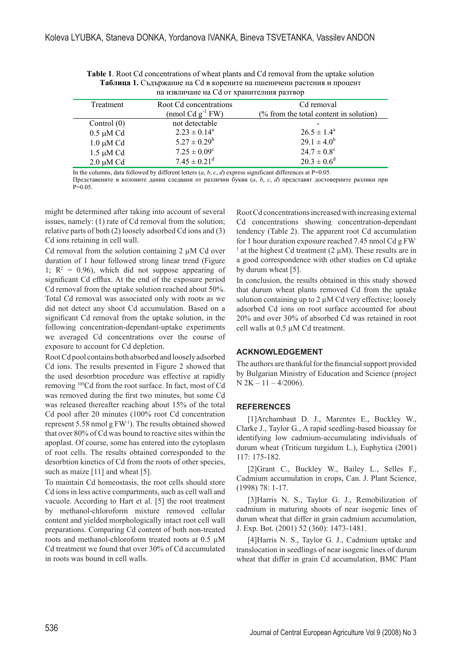| на извличане на Cd от хранителния разтвор |                              |                                        |
|-------------------------------------------|------------------------------|----------------------------------------|
| Treatment                                 | Root Cd concentrations       | Cd removal                             |
|                                           | (nmol $Cdg^{-1}FW$ )         | (% from the total content in solution) |
| Control $(0)$                             | not detectable               |                                        |
| $0.5 \mu M$ Cd                            | $2.23 \pm 0.14^a$            | $26.5 \pm 1.4^{\circ}$                 |
| $1.0 \mu M$ Cd                            | $5.27 \pm 0.29^b$            | $29.1 \pm 4.0^b$                       |
| $1.5 \mu M$ Cd                            | $7.25 \pm 0.09^{\circ}$      | $24.7 \pm 0.8^{\circ}$                 |
| $2.0 \mu M$ Cd                            | $7.45 \pm 0.21$ <sup>d</sup> | $20.3 \pm 0.6^d$                       |

Table 1. Root Cd concentrations of wheat plants and Cd removal from the uptake solution Таблица 1. Съдържание на Сф в корените на пшеничени растения и процент

In the columns, data followed by different letters  $(a, b, c, d)$  express significant differences at P=0.05.

Представените в колоните данни следвани от различни букви  $(a, b, c, d)$  представят достоверните разлики при  $P=0.05$ 

might be determined after taking into account of several issues, namely: (1) rate of Cd removal from the solution; relative parts of both (2) loosely adsorbed Cd ions and (3) Cd ions retaining in cell wall.

Cd removal from the solution containing  $2 \mu M$  Cd over duration of 1 hour followed strong linear trend (Figure 1;  $R^2 = 0.96$ ), which did not suppose appearing of significant Cd efflux. At the end of the exposure period Cd removal from the uptake solution reached about 50%. Total Cd removal was associated only with roots as we did not detect any shoot Cd accumulation. Based on a significant Cd removal from the uptake solution, in the following concentration-dependant-uptake experiments we averaged Cd concentrations over the course of exposure to account for Cd depletion.

Root Cd pool contains both absorbed and loosely adsorbed Cd ions. The results presented in Figure 2 showed that the used desorbtion procedure was effective at rapidly removing <sup>109</sup>Cd from the root surface. In fact, most of Cd was removed during the first two minutes, but some Cd was released thereafter reaching about 15% of the total Cd pool after 20 minutes (100% root Cd concentration represent 5.58 nmol g FW<sup>-1</sup>). The results obtained showed that over 80% of Cd was bound to reactive sites within the apoplast. Of course, some has entered into the cytoplasm of root cells. The results obtained corresponded to the desorbtion kinetics of Cd from the roots of other species, such as maize  $[11]$  and wheat  $[5]$ .

To maintain Cd homeostasis, the root cells should store Cd ions in less active compartments, such as cell wall and vacuole. According to Hart et al. [5] the root treatment by methanol-chloroform mixture removed cellular content and yielded morphologically intact root cell wall preparations. Comparing Cd content of both non-treated roots and methanol-chloroform treated roots at 0.5 µM Cd treatment we found that over 30% of Cd accumulated in roots was bound in cell walls

Root Cd concentrations increased with increasing external Cd concentrations showing concentration-dependant tendency (Table 2). The apparent root Cd accumulation for 1 hour duration exposure reached 7.45 nmol Cd g FW <sup>1</sup> at the highest Cd treatment (2  $\mu$ M). These results are in a good correspondence with other studies on Cd uptake by durum wheat [5].

In conclusion, the results obtained in this study showed that durum wheat plants removed Cd from the uptake solution containing up to 2 µM Cd very effective; loosely adsorbed Cd ions on root surface accounted for about 20% and over 30% of absorbed Cd was retained in root cell walls at 0.5 µM Cd treatment.

## **ACKNOWLEDGEMENT**

The authors are thankful for the financial support provided by Bulgarian Ministry of Education and Science (project  $N 2K - 11 - 4/2006$ 

### **REFERENCES**

[1] Archambaut D. J., Marentes E., Buckley W., Clarke J., Taylor G., A rapid seedling-based bioassay for identifying low cadmium-accumulating individuals of durum wheat (Triticum turgidum L.), Euphytica (2001) 117: 175-182.

[2]Grant C., Buckley W., Bailey L., Selles F., Cadmium accumulation in crops, Can. J. Plant Science,  $(1998)$  78: 1-17.

[3] Harris N. S., Taylor G. J., Remobilization of cadmium in maturing shoots of near isogenic lines of durum wheat that differ in grain cadmium accumulation, J. Exp. Bot. (2001) 52 (360): 1473-1481.

[4] Harris N. S., Taylor G. J., Cadmium uptake and translocation in seedlings of near isogenic lines of durum wheat that differ in grain Cd accumulation, BMC Plant